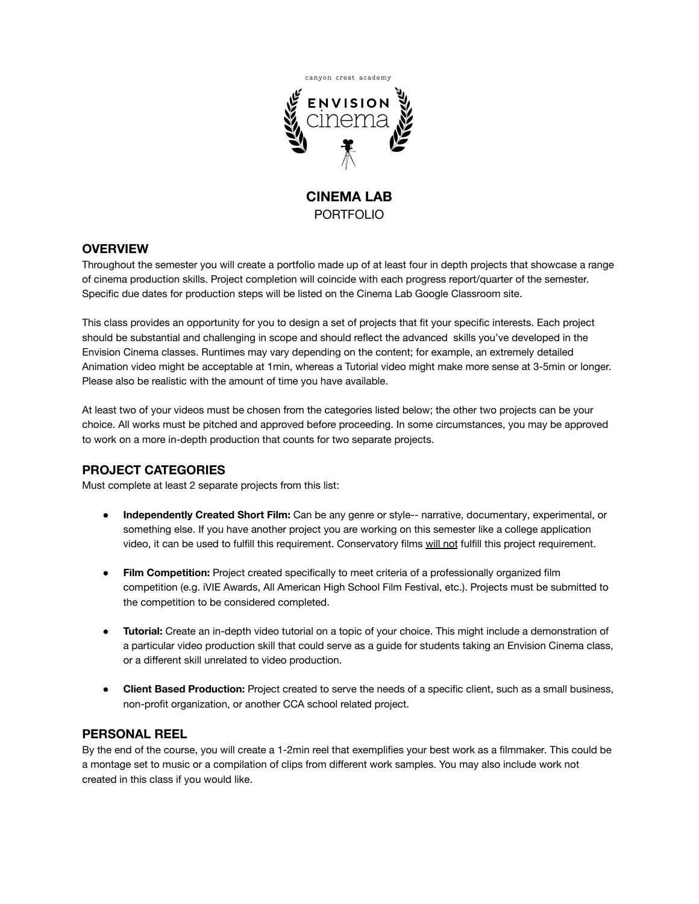

**CINEMA LAB** PORTFOLIO

## **OVERVIEW**

Throughout the semester you will create a portfolio made up of at least four in depth projects that showcase a range of cinema production skills. Project completion will coincide with each progress report/quarter of the semester. Specific due dates for production steps will be listed on the Cinema Lab Google Classroom site.

This class provides an opportunity for you to design a set of projects that fit your specific interests. Each project should be substantial and challenging in scope and should reflect the advanced skills you've developed in the Envision Cinema classes. Runtimes may vary depending on the content; for example, an extremely detailed Animation video might be acceptable at 1min, whereas a Tutorial video might make more sense at 3-5min or longer. Please also be realistic with the amount of time you have available.

At least two of your videos must be chosen from the categories listed below; the other two projects can be your choice. All works must be pitched and approved before proceeding. In some circumstances, you may be approved to work on a more in-depth production that counts for two separate projects.

## **PROJECT CATEGORIES**

Must complete at least 2 separate projects from this list:

- **Independently Created Short Film:** Can be any genre or style-- narrative, documentary, experimental, or something else. If you have another project you are working on this semester like a college application video, it can be used to fulfill this requirement. Conservatory films will not fulfill this project requirement.
- **Film Competition:** Project created specifically to meet criteria of a professionally organized film competition (e.g. iVIE Awards, All American High School Film Festival, etc.). Projects must be submitted to the competition to be considered completed.
- **● Tutorial:** Create an in-depth video tutorial on a topic of your choice. This might include a demonstration of a particular video production skill that could serve as a guide for students taking an Envision Cinema class, or a different skill unrelated to video production.
- **● Client Based Production:** Project created to serve the needs of a specific client, such as a small business, non-profit organization, or another CCA school related project.

## **PERSONAL REEL**

By the end of the course, you will create a 1-2min reel that exemplifies your best work as a filmmaker. This could be a montage set to music or a compilation of clips from different work samples. You may also include work not created in this class if you would like.